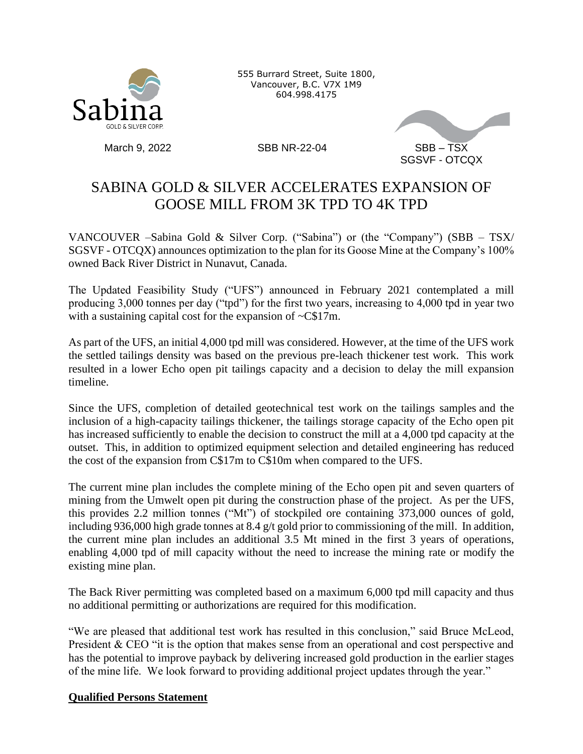

555 Burrard Street, Suite 1800, Vancouver, B.C. V7X 1M9 604.998.4175



## SABINA GOLD & SILVER ACCELERATES EXPANSION OF GOOSE MILL FROM 3K TPD TO 4K TPD

VANCOUVER –Sabina Gold & Silver Corp. ("Sabina") or (the "Company") (SBB – TSX/ SGSVF - OTCQX) announces optimization to the plan for its Goose Mine at the Company's 100% owned Back River District in Nunavut, Canada.

The Updated Feasibility Study ("UFS") announced in February 2021 contemplated a mill producing 3,000 tonnes per day ("tpd") for the first two years, increasing to 4,000 tpd in year two with a sustaining capital cost for the expansion of  $\sim$ C\$17m.

As part of the UFS, an initial 4,000 tpd mill was considered. However, at the time of the UFS work the settled tailings density was based on the previous pre-leach thickener test work. This work resulted in a lower Echo open pit tailings capacity and a decision to delay the mill expansion timeline.

Since the UFS, completion of detailed geotechnical test work on the tailings samples and the inclusion of a high-capacity tailings thickener, the tailings storage capacity of the Echo open pit has increased sufficiently to enable the decision to construct the mill at a 4,000 tpd capacity at the outset. This, in addition to optimized equipment selection and detailed engineering has reduced the cost of the expansion from C\$17m to C\$10m when compared to the UFS.

The current mine plan includes the complete mining of the Echo open pit and seven quarters of mining from the Umwelt open pit during the construction phase of the project. As per the UFS, this provides 2.2 million tonnes ("Mt") of stockpiled ore containing 373,000 ounces of gold, including 936,000 high grade tonnes at 8.4 g/t gold prior to commissioning of the mill. In addition, the current mine plan includes an additional 3.5 Mt mined in the first 3 years of operations, enabling 4,000 tpd of mill capacity without the need to increase the mining rate or modify the existing mine plan.

The Back River permitting was completed based on a maximum 6,000 tpd mill capacity and thus no additional permitting or authorizations are required for this modification.

"We are pleased that additional test work has resulted in this conclusion," said Bruce McLeod, President & CEO "it is the option that makes sense from an operational and cost perspective and has the potential to improve payback by delivering increased gold production in the earlier stages of the mine life. We look forward to providing additional project updates through the year."

## **Qualified Persons Statement**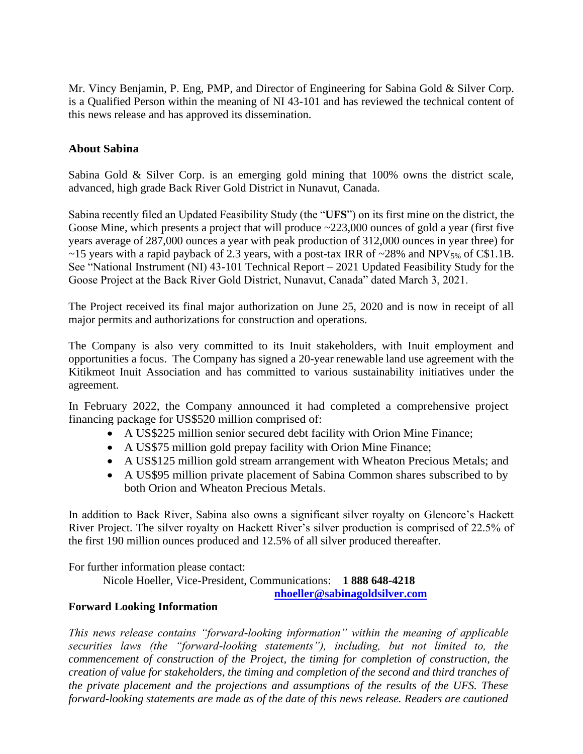Mr. Vincy Benjamin, P. Eng, PMP, and Director of Engineering for Sabina Gold & Silver Corp. is a Qualified Person within the meaning of NI 43-101 and has reviewed the technical content of this news release and has approved its dissemination.

## **About Sabina**

Sabina Gold & Silver Corp. is an emerging gold mining that 100% owns the district scale, advanced, high grade Back River Gold District in Nunavut, Canada.

Sabina recently filed an Updated Feasibility Study (the "**UFS**") on its first mine on the district, the Goose Mine, which presents a project that will produce ~223,000 ounces of gold a year (first five years average of 287,000 ounces a year with peak production of 312,000 ounces in year three) for ~15 years with a rapid payback of 2.3 years, with a post-tax IRR of ~28% and NPV $_{5\%}$  of C\$1.1B. See "National Instrument (NI) 43-101 Technical Report – 2021 Updated Feasibility Study for the Goose Project at the Back River Gold District, Nunavut, Canada" dated March 3, 2021.

The Project received its final major authorization on June 25, 2020 and is now in receipt of all major permits and authorizations for construction and operations.

The Company is also very committed to its Inuit stakeholders, with Inuit employment and opportunities a focus. The Company has signed a 20-year renewable land use agreement with the Kitikmeot Inuit Association and has committed to various sustainability initiatives under the agreement.

In February 2022, the Company announced it had completed a comprehensive project financing package for US\$520 million comprised of:

- A US\$225 million senior secured debt facility with Orion Mine Finance;
- A US\$75 million gold prepay facility with Orion Mine Finance;
- A US\$125 million gold stream arrangement with Wheaton Precious Metals; and
- A US\$95 million private placement of Sabina Common shares subscribed to by both Orion and Wheaton Precious Metals.

In addition to Back River, Sabina also owns a significant silver royalty on Glencore's Hackett River Project. The silver royalty on Hackett River's silver production is comprised of 22.5% of the first 190 million ounces produced and 12.5% of all silver produced thereafter.

For further information please contact:

Nicole Hoeller, Vice-President, Communications: **1 888 648-4218** 

**[nhoeller@sabinagoldsilver.com](mailto:nhoeller@sabinagoldsilver.com)**

## **Forward Looking Information**

*This news release contains "forward-looking information" within the meaning of applicable securities laws (the "forward-looking statements"), including, but not limited to, the commencement of construction of the Project, the timing for completion of construction, the creation of value for stakeholders, the timing and completion of the second and third tranches of the private placement and the projections and assumptions of the results of the UFS. These forward-looking statements are made as of the date of this news release. Readers are cautioned*